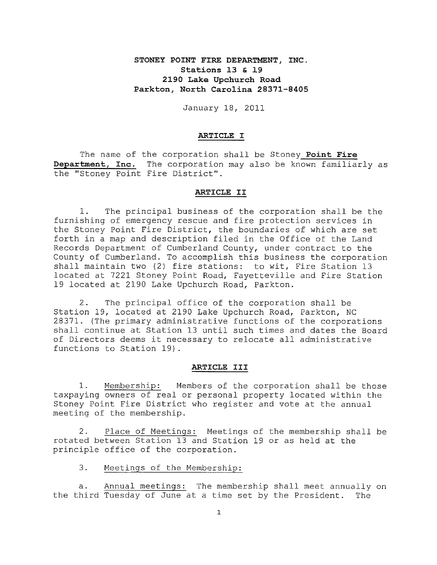# **STONEY POINT FIRE DEPARTMENT, INC. Stations 13 & 19 2190 Lake Upchurch Road Parkton, North Carolina 28371-8405**

January 18, 2011

### **ARTICLE I**

The name of the corporation shall be Stoney **Point Fire Department, Inc.** The corporation may also be known familiarly as the "Stoney Point Fire District".

#### **ARTICLE II**

**1.** The principal business of the corporation shall be the furnishing of emergency rescue and fire protection services in the Stoney Point Fire District, the boundaries of which are set forth in a map and description filed in the Office of the Land Records Department of Cumberland County, under contract to the County of Cumberland. To accomplish this business the corporation shall maintain two (2) fire stations: to wit, Fire Station 13 located at 7221 Stoney Point Road, Fayetteville and Fire Station 19 located at 2190 Lake Upchurch Road, Parkton.

**2.** The principal office of the corporation shall be Station 19, located at 2190 Lake Upchurch Road, Parkton, NC 28371. (The primary administrative functions of the corporations shall continue at Station 13 until such times and dates the Board of Directors deems it necessary to relocate all administrative functions to Station 19).

#### **ARTICLE III**

**1.** Membership: Members of the corporation shall be those taxpaying owners of real or personal property located within the Stoney Point Fire District who register and vote at the annual meeting of the membership.

**2.** Place of Meetings: Meetings of the membership shall be rotated between Station 13 and Station 19 or as held at the principle office of the corporation.

**3.** Meetings of the Membership:

**a.** Annual meetings: The membership shall meet annually on the third Tuesday of June at a time set by the President. The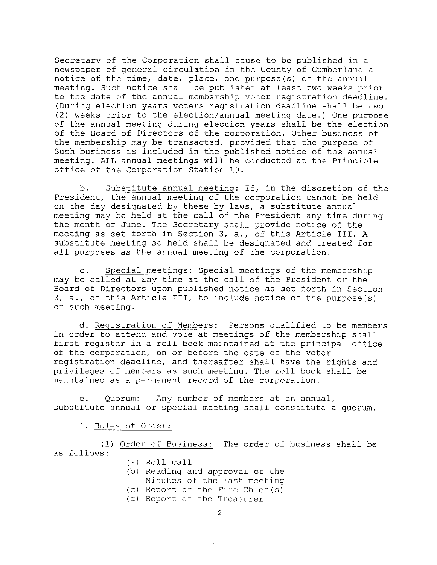Secretary of the Corporation shall cause to be published in a newspaper of general circulation in the County of Cumberland a notice of the time, date, place, and purpose(s) of the annual meeting. Such notice shall be published at least two weeks prior to the date of the annual membership voter registration deadline. (During election years voters registration deadline shall be two (2) weeks prior to the election/annual meeting date.) One purpose of the annual meeting during election years shall be the election of the Board of Directors of the corporation. Other business of the membership may be transacted, provided that the purpose of Such business is included in the published notice of the annual meeting. ALL annual meetings will be conducted at the Principle office of the Corporation Station 19.

b. Substitute annual meeting: If, in the discretion of the President, the annual meeting of the corporation cannot be held on the day designated by these by laws, a substitute annual meeting may be held at the call of the President any time during the month of June. The Secretary shall provide notice of the meeting as set forth in Section 3, a., of this Article III. A substitute meeting so held shall be designated and treated for all purposes as the annual meeting of the corporation.

c. Special meetings: Special meetings of the membership may be called at any time at the call of the President or the Board of Directors upon published notice as set forth in Section 3, a., of this Article III, to include notice of the purpose(s) of such meeting.

d. Registration of Members: Persons qualified to be members in order to attend and vote at meetings of the membership shall first register in a roll book maintained at the principal office of the corporation, on or before the date of the voter registration deadline, and thereafter shall have the rights and privileges of members as such meeting. The roll book shall be maintained as a permanent record of the corporation.

e. Quorum: Any number of members at an annual, substitute annual or special meeting shall constitute a quorum.

f. Rules of Order:

(1) Order of Business: The order of business shall be as follows:

- (a) Roll call
- (b) Reading and approval of the
	- Minutes of the last meeting
- (c) Report of the Fire Chief(s)
- (d) Report of the Treasurer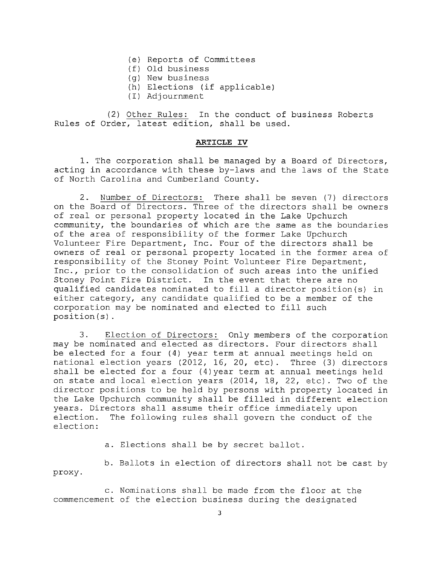- (e) Reports of Committees
- (f) Old business
- (g) New business
- (h) Elections (if applicable)
- (I) Adjournment

(2) Other Rules: In the conduct of business Roberts Rules of Order, latest edition, shall be used.

# **ARTICLE IV**

1. The corporation shall be managed by a Board of Directors, acting in accordance with these by-laws and the laws of the State of North Carolina and Cumberland County.

2. Number of Directors: There shall be seven (7) directors on the Board of Directors. Three of the directors shall be owners of real or personal property located in the Lake Upchurch community, the boundaries of which are the same as the boundaries of the area of responsibility of the former Lake Upchurch Volunteer Fire Department, Inc. Four of the directors shall be owners of real or personal property located in the former area of responsibility of the Stoney Point Volunteer Fire Department, Inc., prior to the consolidation of such areas into the unified Stoney Point Fire District. In the event that there are no qualified candidates nominated to fill a director position(s) in either category, any candidate qualified to be a member of the corporation may be nominated and elected to fill such position(s) .

3. Election of Directors: Only members of the corporation may be nominated and elected as directors. Four directors shall be elected for a four (4) year term at annual meetings held on national election years (2012, 16, 20, etc). Three (3) directors shall be elected for a four (4)year term at annual meetings held on state and local election years (2014, 18, 22, etc). Two of the director positions to be held by persons with property located in the Lake Upchurch community shall be filled in different election years. Directors shall assume their office immediately upon<br>election. The following rules shall govern the conduct of The following rules shall govern the conduct of the election:

a. Elections shall be by secret ballot.

b. Ballots in election of directors shall not be cast by proxy.

c. Nominations shall be made from the floor at the commencement of the election business during the designated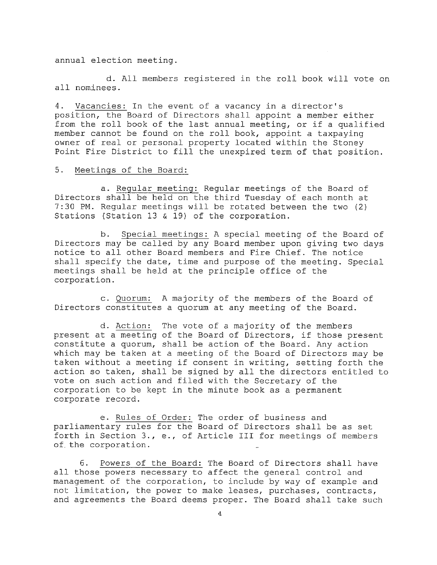annual election meeting.

d. All members registered in the roll book will vote on all nominees.

4. Vacancies: In the event of a vacancy in a director's position, the Board of Directors shall appoint a member either from the roll book of the last annual meeting, or if a qualified member cannot be found on the roll book, appoint a taxpaying owner of real or personal property located within the Stoney Point Fire District to fill the unexpired term of that position.

# 5. Meetings of the Board:

a. Regular meeting: Regular meetings of the Board of Directors shall be held on the third Tuesday of each month at 7:30 PM. Regular meetings will be rotated between the two (2) Stations (Station 13 & 19) of the corporation.

b. Special meetings: A special meeting of the Board of Directors may be called by any Board member upon giving two days notice to all other Board members and Fire Chief. The notice shall specify the date, time and purpose of the meeting. Special meetings shall be held at the principle office of the corporation.

c. Quorum: A majority of the members of the Board of Directors constitutes a quorum at any meeting of the Board.

d. Action: The vote of a majority of the members present at a meeting of the Board of Directors, if those present constitute a quorum, shall be action of the Board. Any action which may be taken at a meeting of the Board of Directors may be taken without a meeting if consent in writing, setting forth the action so taken, shall be signed by all the directors entitled to vote on such action and filed with the Secretary of the corporation to be kept in the minute book as a permanent corporate record.

e. Rules of Order: The order of business and parliamentary rules for the Board of Directors shall be as set forth in Section 3., e., of Article III for meetings of members of the corporation.

6. Powers of the Board: The Board of Directors shall have all those powers necessary to affect the general control and management of the corporation, to include by way of example and not limitation, the power to make leases, purchases, contracts, and agreements the Board deems proper. The Board shall take such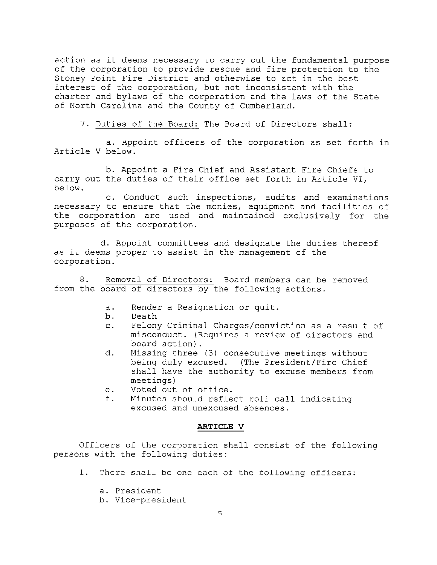action as it deems necessary to carry out the fundamental purpose of the corporation to provide rescue and fire protection to the Stoney Point Fire District and otherwise to act in the best interest of the corporation, but not inconsistent with the charter and bylaws of the corporation and the laws of the State of North Carolina and the County of Cumberland.

**7.** Duties of the Board: The Board of Directors shall:

**a.** Appoint officers of the corporation as set forth in Article V below.

**b.** Appoint a Fire Chief and Assistant Fire Chiefs to carry out the duties of their office set forth in Article VI, below.

**c.** Conduct such inspections, audits and examinations necessary to ensure that the monies, equipment and facilities of the corporation are used and maintained exclusively for the purposes of the corporation.

**d.** Appoint committees and designate the duties thereof as it deems proper to assist in the management of the corporation.

**8.** Removal of Directors: Board members can be removed from the board of directors by the following actions.

- **a.** Render a Resignation or quit.
- **b.** Death
- **c.** Felony Criminal Charges/conviction as a result of misconduct. (Requires a review of directors and board action) .
- **d.** Missing three (3) consecutive meetings without being duly excused. (The President/Fire Chief shall have the authority to excuse members from meetings)
- **e.** Voted out of office.
- **f.** Minutes should reflect roll call indicating excused and unexcused absences.

#### **ARTICLE V**

Officers of the corporation shall consist of the following persons with the following duties:

**1.** There shall be one each of the following officers:

**a.** President

**b.** Vice-president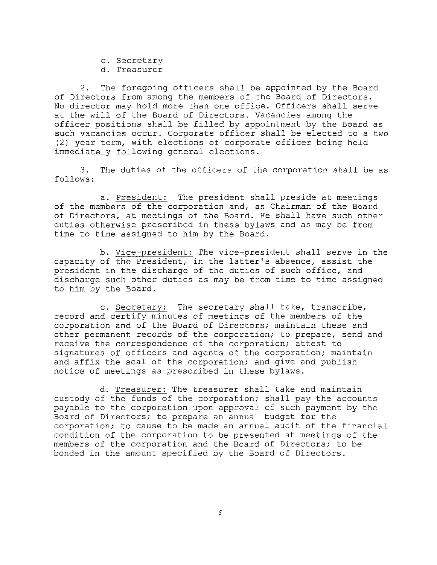**c.** Secretary

**d.** Treasurer

**2.** The foregoing officers shall be appointed by the Board of Directors from among the members of the Board of Directors. No director may hold more than one office. Officers shall serve at the will of the Board of Directors. Vacancies among the officer positions shall be filled by appointment by the Board as such vacancies occur. Corporate officer shall be elected to a two (2) year term, with elections of corporate officer being held immediately following general elections.

**3.** The duties of the officers of the corporation shall be as follows:

**a.** President: The president shall preside at meetings of the members of the corporation and, as Chairman of the Board of Directors, at meetings of the Board. He shall have such other duties otherwise prescribed in these bylaws and as may be from time to time assigned to him by the Board.

**b.** Vice-president: The vice-president shall serve in the capacity of the President, in the latter's absence, assist the president in the discharge of the duties of such office, and discharge such other duties as may be from time to time assigned to him by the Board.

**c.** Secretary: The secretary shall take, transcribe, record and certify minutes of meetings of the members of the corporation and of the Board of Directors; maintain these and other permanent records of the corporation; to prepare, send and receive the correspondence of the corporation; attest to signatures of officers and agents of the corporation; maintain and affix the seal of the corporation; and give and publish notice of meetings as prescribed in these bylaws.

**d.** Treasurer: The treasurer shall take and maintain custody of the funds of the corporation; shall pay the accounts payable to the corporation upon approval of such payment by the Board of Directors; to prepare an annual budget for the corporation; to cause to be made an annual audit of the financial condition of the corporation to be presented at meetings of the members of the corporation and the Board of Directors; to be bonded in the amount specified by the Board of Directors.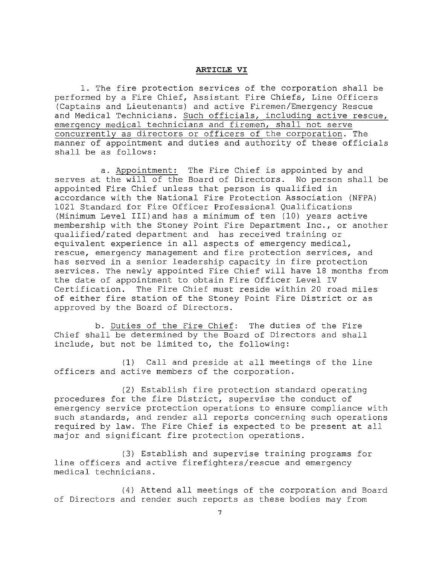#### **ARTICLE VI**

1. The fire protection services of the corporation shall be performed by a Fire Chief, Assistant Fire Chiefs, Line Officers (Captains and Lieutenants) and active Firemen/Emergency Rescue and Medical Technicians. Such officials, including active rescue, emergency medical technicians and firemen, shall not serve concurrently as directors or officers of the corporation. The manner of appointment and duties and authority of these officials shall be as follows:

a. Appointment: The Fire Chief is appointed by and serves at the will of the Board of Directors. No person shall be appointed Fire Chief unless that person is qualified in accordance with the National Fire Protection Association (NFPA) 1021 Standard for Fire Officer Professional Qualifications (Minimum Level III)and has a minimum of ten (10) years active membership with the Stoney Point Fire Department Inc., or another qualified/rated department and has received training or equivalent experience in all aspects of emergency medical, rescue, emergency management and fire protection services, and has served in a senior leadership capacity in fire protection services. The newly appointed Fire Chief will have 18 months from the date of appointment to obtain Fire Officer Level IV Certification. The Fire Chief must reside within 20 road miles of either fire station of the Stoney Point Fire District or as approved by the Board of Directors.

b. Duties of the Fire Chief: The duties of the Fire Chief shall be determined by the Board of Directors and shall include, but not be limited to, the following:

(1) Call and preside at all meetings of the line officers and active members of the corporation.

(2) Establish fire protection standard operating procedures for the fire District, supervise the conduct of emergency service protection operations to ensure compliance with such standards, and render all reports concerning such operations required by law. The Fire Chief is expected to be present at all major and significant fire protection operations.

(3) Establish and supervise training programs for line officers and active firefighters/rescue and emergency medical technicians.

(4) Attend all meetings of the corporation and Board of Directors and render such reports as these bodies may from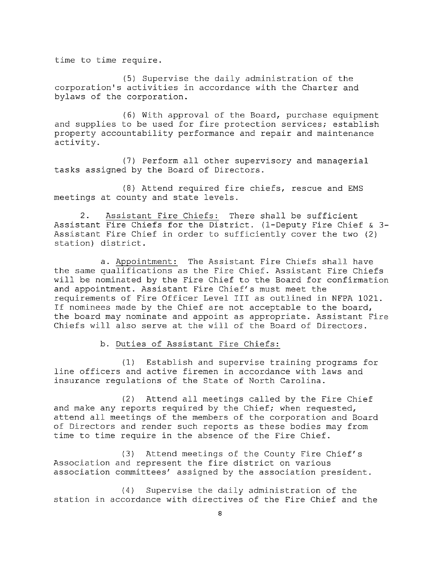time to time require.

(5) Supervise the daily administration of the corporation's activities in accordance with the Charter and bylaws of the corporation.

(6) With approval of the Board, purchase equipment and supplies to be used for fire protection services; establish property accountability performance and repair and maintenance activity.

(7) Perform all other supervisory and managerial tasks assigned by the Board of Directors.

(8) Attend required fire chiefs, rescue and EMS meetings at county and state levels.

**2.** Assistant Fire Chiefs: There shall be sufficient Assistant Fire Chiefs for the District. (l-Deputy Fire Chief & **3-** Assistant Fire Chief in order to sufficiently cover the two (2) station) district.

**a.** Appointment: The Assistant Fire Chiefs shall have the same qualifications as the Fire Chief. Assistant Fire Chiefs will be nominated by the Fire Chief to the Board for confirmation and appointment. Assistant Fire Chief's must meet the requirements of Fire Officer Level III as outlined in NFPA 1021. If nominees made by the Chief are not acceptable to the board, the board may nominate and appoint as appropriate. Assistant Fire Chiefs will also serve at the will of the Board of Directors.

**b.** Duties of Assistant Fire Chiefs:

(1) Establish and supervise training programs for line officers and active firemen in accordance with laws and insurance regulations of the State of North Carolina.

(2) Attend all meetings called by the Fire Chief and make any reports required by the Chief; when requested, attend all meetings of the members of the corporation and Board of Directors and render such reports as these bodies may from time to time require in the absence of the Fire Chief.

(3) Attend meetings of the County Fire Chief's Association and represent the fire district on various association committees' assigned by the association president.

(4) Supervise the daily administration of the station in accordance with directives of the Fire Chief and the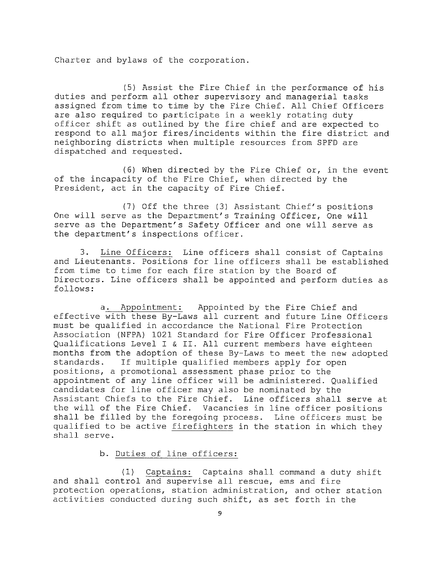Charter and bylaws of the corporation.

(5) Assist the Fire Chief in the performance of his duties and perform all other supervisory and managerial tasks assigned from time to time by the Fire Chief. All Chief Officers are also required to participate in a weekly rotating duty officer shift as outlined by the fire chief and are expected to respond to all major fires/incidents within the fire district and neighboring districts when multiple resources from SPFD are dispatched and requested.

(6) When directed by the Fire Chief or, in the event of the incapacity of the Fire Chief, when directed by the President, act in the capacity of Fire Chief.

(7) Off the three (3) Assistant Chief's positions One will serve as the Department's Training Officer, One will serve as the Department's Safety Officer and one will serve as the department's inspections officer.

3. Line Officers: Line officers shall consist of Captains and Lieutenants. Positions for line officers shall be established from time to time for each fire station by the Board of Directors. Line officers shall be appointed and perform duties as follows:

a. Appointment: Appointed by the Fire Chief and effective with these By-Laws all current and future Line Officers must be qualified in accordance the National Fire Protection Association (NFPA) 1021 Standard for Fire Officer Professional Qualifications Level I & II. All current members have eighteen months from the adoption of these By-Laws to meet the new adopted standards. If multiple qualified members apply for open positions, a promotional assessment phase prior to the appointment of any line officer will be administered. Qualified candidates for line officer may also be nominated by the Assistant Chiefs to the Fire Chief. Line officers shall serve at<br>the will of the Fire Chief. Vacancies in line officer positions Vacancies in line officer positions shall be filled by the foregoing process. Line officers must be qualified to be active firefighters in the station in which they shall serve.

b. Duties of line officers:

(1) Captains: Captains shall command a duty shift and shall control and supervise all rescue, ems and fire protection operations, station administration, and other station activities conducted during such shift, as set forth in the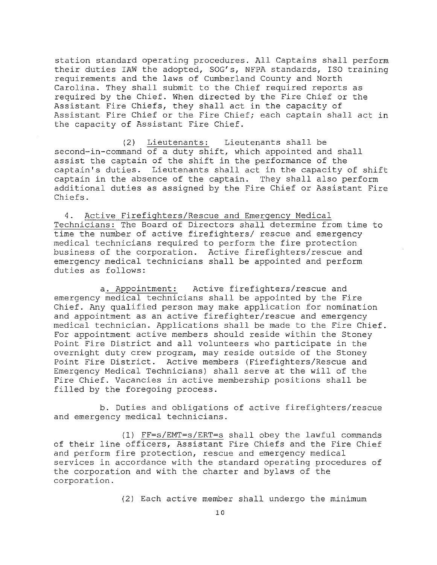station standard operating procedures. All Captains shall perform their duties IAW the adopted, SOG's, NFPA standards, ISO training requirements and the laws of Cumberland County and North Carolina. They shall submit to the Chief required reports as required by the Chief. When directed by the Fire Chief or the Assistant Fire Chiefs, they shall act in the capacity of Assistant Fire Chief or the Fire Chief; each captain shall act in the capacity of Assistant Fire Chief.

(2) Lieutenants: Lieutenants shall be second-in-command of a duty shift, which appointed and shall assist the captain of the shift in the performance of the captain's duties. Lieutenants shall act in the capacity of shift captain in the absence of the captain. They shall also perform additional duties as assigned by the Fire Chief or Assistant Fire Chiefs.

**4.** Active Firefighters/Rescue and Emergency Medical Technicians: The Board of Directors shall determine from time to time the number of active firefighters/ rescue and emergency medical technicians required to perform the fire protection business of the corporation. Active firefighters/rescue and emergency medical technicians shall be appointed and perform duties as follows:

**a.** Appointment: Active firefighters/rescue and emergency medical technicians shall be appointed by the Fire Chief. Any qualified person may make application for nomination and appointment as an active firefighter/rescue and emergency medical technician. Applications shall be made to the Fire Chief. For appointment active members should reside within the Stoney Point Fire District and all volunteers who participate in the overnight duty crew program, may reside outside of the Stoney Point Fire District. Active members (Firefighters/Rescue and Emergency Medical Technicians) shall serve at the will of the Fire Chief. Vacancies in active membership positions shall be filled by the foregoing process.

**b.** Duties and obligations of active firefighters/rescue and emergency medical technicians.

(1) FF=s/EMT=s/ERT=s shall obey the lawful commands of their line officers, Assistant Fire Chiefs and the Fire Chief and perform fire protection, rescue and emergency medical services in accordance with the standard operating procedures of the corporation and with the charter and bylaws of the corporation.

(2) Each active member shall undergo the minimum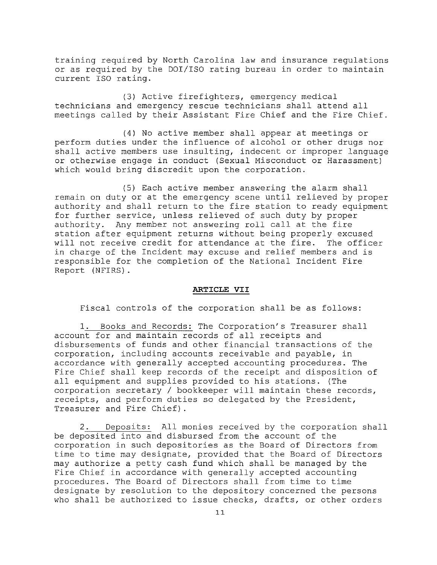training required by North Carolina law and insurance regulations or as required by the DOl/ISO rating bureau in order to maintain current ISO rating.

(3) Active firefighters, emergency medical technicians and emergency rescue technicians shall attend all meetings called by their Assistant Fire Chief and the Fire Chief.

(4) No active member shall appear at meetings or perform duties under the influence of alcohol or other drugs nor shall active members use insulting, indecent or improper language or otherwise engage in conduct (Sexual Misconduct or Harassment) which would bring discredit upon the corporation.

(5) Each active member answering the alarm shall remain on duty or at the emergency scene until relieved by proper authority and shall return to the fire station to ready equipment for further service, unless relieved of such duty by proper authority. Any member not answering roll call at the fire station after equipment returns without being properly excused<br>will not receive credit for attendance at the fire. The officer will not receive credit for attendance at the fire. in charge of the Incident may excuse and relief members and is responsible for the completion of the National Incident Fire Report (NFIRS).

## **ARTICLE VII**

Fiscal controls of the corporation shall be as follows:

1. Books and Records: The Corporation's Treasurer shall account for and maintain records of all receipts and disbursements of funds and other financial transactions of the corporation, including accounts receivable and payable, in accordance with generally accepted accounting procedures. The Fire Chief shall keep records of the receipt and disposition of all equipment and supplies provided to his stations. (The corporation secretary / bookkeeper will maintain these records, receipts, and perform duties so delegated by the President, Treasurer and Fire Chief).

2. Deposits: All monies received by the corporation shall be deposited into and disbursed from the account of the corporation in such depositories as the Board of Directors from time to time may designate, provided that the Board of Directors may authorize a petty cash fund which shall be managed by the Fire Chief in accordance with generally accepted accounting procedures. The Board of Directors shall from time to time designate by resolution to the depository concerned the persons who shall be authorized to issue checks, drafts, or other orders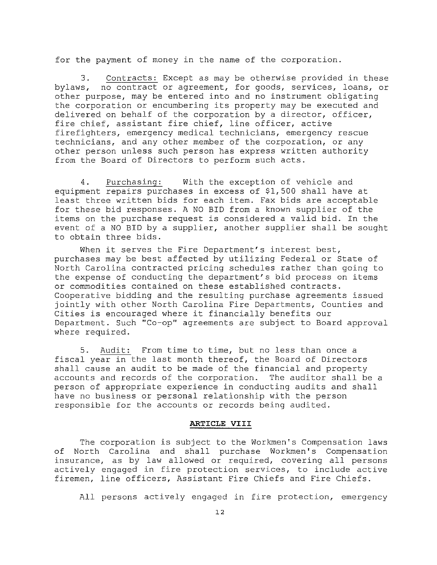for the payment of money in the name of the corporation.

**3.** Contracts: Except as may be otherwise provided in these bylaws, no contract or agreement, for goods, services, loans, or other purpose, may be entered into and no instrument obligating the corporation or encumbering its property may be executed and delivered on behalf of the corporation by a director, officer, fire chief, assistant fire chief, line officer, active firefighters, emergency medical technicians, emergency rescue technicians, and any other member of the corporation, or any other person unless such person has express written authority from the Board of Directors to perform such acts.

**4.** Purchasing: With the exception of vehicle and equipment repairs purchases in excess of \$1,500 shall have at least three written bids for each item. Fax bids are acceptable for these bid responses. A NO BID from a known supplier of the items on the purchase request is considered a valid bid. In the event of a NO BID by a supplier, another supplier shall be sought to obtain three bids.

When it serves the Fire Department's interest best, purchases may be best affected by utilizing Federal or State of North Carolina contracted pricing schedules rather than going to the expense of conducting the department's bid process on items or commodities contained on these established contracts. Cooperative bidding and the resulting purchase agreements issued jointly with other North Carolina Fire Departments, Counties and Cities is encouraged where it financially benefits our Department. Such "Co-op" agreements are subject to Board approval where required.

**5.** Audit: From time to time, but no less than once a fiscal year in the last month thereof, the Board of Directors shall cause an audit to be made of the financial and property accounts and records of the corporation. The auditor shall be a person of appropriate experience in conducting audits and shall have no business or personal relationship with the person responsible for the accounts or records being audited.

#### **ARTICLE VIII**

The corporation is subject to the Workmen's Compensation laws of North Carolina and shall purchase Workmen's Compensation insurance, as by law allowed or required, covering all persons actively engaged in fire protection services, to include active firemen, line officers, Assistant Fire Chiefs and Fire Chiefs.

All persons actively engaged in fire protection, emergency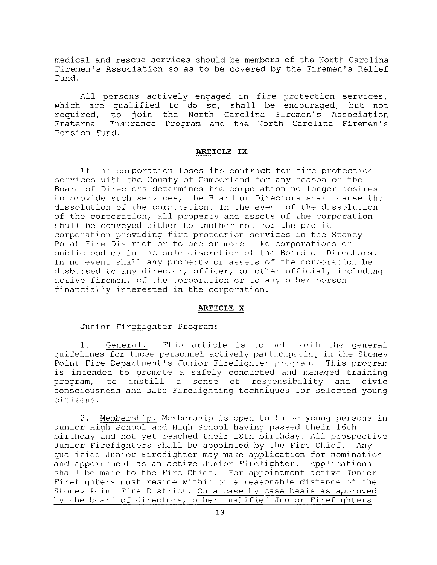medical and rescue services should be members of the North Carolina Firemen's Association so as to be covered by the Firemen's Relief Fund.

All persons actively engaged in fire protection services, which are qualified to do so, shall be encouraged, but not required, to join the North Carolina Firemen's Association Fraternal Insurance Program and the North Carolina Firemen's Pension Fund.

# **ARTICLE IX**

If the corporation loses its contract for fire protection services with the County of Cumberland for any reason or the Board of Directors determines the corporation no longer desires to provide such services, the Board of Directors shall cause the dissolution of the corporation. In the event of the dissolution of the corporation, all property and assets of the corporation shall be conveyed either to another not for the profit corporation providing fire protection services in the Stoney Point Fire District or to one or more like corporations or public bodies in the sole discretion of the Board of Directors. In no event shall any property or assets of the corporation be disbursed to any director, officer, or other official, including active firemen, of the corporation or to any other person financially interested in the corporation.

# **ARTICLE X**

# Junior Firefighter Program:

1. General. This article is to set forth the general guidelines for those personnel actively participating in the Stoney Point Fire Department's Junior Firefighter program. This program is intended to promote a safely conducted and managed training<br>program, to instill a sense of responsibility and civic program, to instill a sense of responsibility and civic consciousness and safe Firefighting techniques for selected young citizens.

**2.** Membership. Membership is open to those young persons in Junior High School and High School having passed their 16th birthday and not yet reached their 18th birthday. All prospective Junior Firefighters shall be appointed by the Fire Chief. Any qualified Junior Firefighter may make application for nomination and appointment as an active Junior Firefighter. Applications shall be made to the Fire Chief. For appointment active Junior Firefighters must reside within or a reasonable distance of the Stoney Point Fire District. On a case by case basis as approved by the board of directors, other qualified Junior Firefighters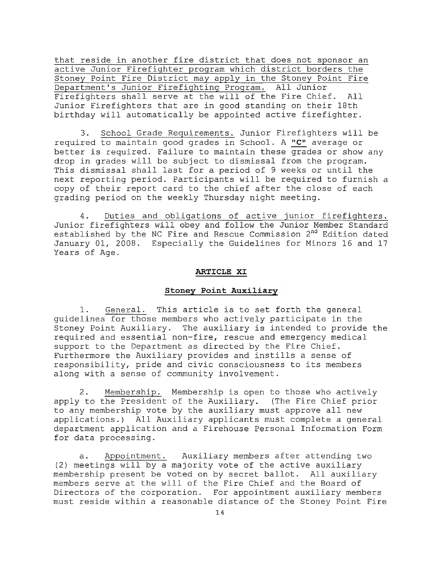that reside in another fire district that does not sponsor an active Junior Firefighter program which district borders the Stoney Point Fire District may apply in the Stoney Point Fire Department's Junior Firefighting Program. All Junior Firefighters shall serve at the will of the Fire Chief. All Junior Firefighters that are in good standing on their 18th birthday will automatically be appointed active firefighter.

**3.** School Grade Requirements. Junior Firefighters will be required to maintain good grades in School. A **"C"** average or better is required. Failure to maintain these grades or show any drop in grades will be subject to dismissal from the program. This dismissal shall last for a period of 9 weeks or until the next reporting period. Participants will be required to furnish a copy of their report card to the chief after the close of each grading period on the weekly Thursday night meeting.

**4.** Duties and obligations of active junior firefighters. Junior firefighters will obey and follow the Junior Member Standard established by the NC Fire and Rescue Commission 2<sup>nd</sup> Edition dated January 01, 2008. Especially the Guidelines for Minors 16 and 17 Years of Age.

#### **ARTICLE XI**

#### **stoney** *Point Auxiliary*

**1.** General. This article is to set forth the general guidelines for those members who actively participate in the Stoney Point Auxiliary. The auxiliary is intended to provide the required and essential non-fire, rescue and emergency medical support to the Department as directed by the Fire Chief. Furthermore the Auxiliary provides and instills a sense of responsibility, pride and civic consciousness to its members along with a sense of community involvement.

**2.** Membership. Membership is open to those who actively apply to the President of the Auxiliary. (The Fire Chief prior to any membership vote by the auxiliary must approve all new applications.) All Auxiliary applicants must complete a general department application and a Firehouse Personal Information Form for data processing.

**a.** Appointment. Auxiliary members after attending two (2) meetings will by a majority vote of the active auxiliary membership present be voted on by secret ballot. All auxiliary members serve at the will of the Fire Chief and the Board of Directors of the corporation. For appointment auxiliary members must reside within a reasonable distance of the Stoney Point Fire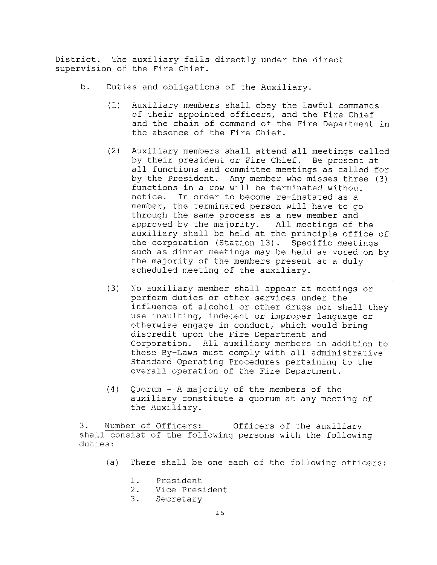District. The auxiliary falls directly under the direct supervision of the Fire Chief.

- b. Duties and obligations of the Auxiliary.
	- (1) Auxiliary members shall obey the lawful commands of their appointed officers, and the Fire Chief and the chain of command of the Fire Department in the absence of the Fire Chief.
	- (2) Auxiliary members shall attend all meetings called by their president or Fire Chief. Be present at all functions and committee meetings as called for by the President. Any member who misses three (3) functions in a row will be terminated without notice. In order to become re-instated as a member, the terminated person will have to go through the same process as a new member and approved by the majority. All meetings of the auxiliary shall be held at the principle office of the corporation (Station 13). Specific meetings such as dinner meetings may be held as voted on by the majority of the members present at a duly scheduled meeting of the auxiliary.
	- (3) No auxiliary member shall appear at meetings or perform duties or other services under the influence of alcohol or other drugs nor shall they use insulting, indecent or improper language or otherwise engage in conduct, which would bring discredit upon the Fire Department and Corporation. All auxiliary members in addition to these By-Laws must comply with all administrative Standard Operating Procedures pertaining to the overall operation of the Fire Department.
	- (4) Quorum A majority of the members of the auxiliary constitute a quorum at any meeting of the Auxiliary.

3. Number of Officers: Officers of the auxiliary shall consist of the following persons with the following duties:

- (a) There shall be one each of the following officers:
	- 1. President
	- 2. Vice President<br>3. Secretary
		- Secretary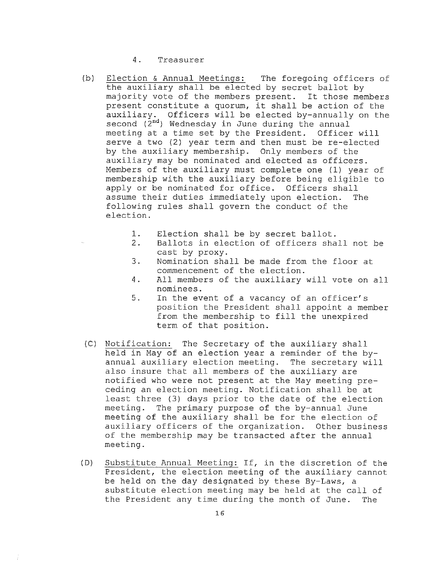4. Treasurer

- (b) Election & Annual Meetinqs: The foregoing officers of the auxiliary shall be elected by secret ballot by majority vote of the members present. It those members present constitute a quorum, it shall be action of the auxiliary. Officers will be elected by-annually on the second  $(\bar{2}^{nd})$  Wednesday in June during the annual meeting at a time set by the President. Officer will serve a two (2) year term and then must be re-elected by the auxiliary membership. Only members of the auxiliary may be nominated and elected as officers. Members of the auxiliary must complete one (1) year of membership with the auxiliary before being eligible to apply or be nominated for office. Officers shall assume their duties immediately upon election. The following rules shall govern the conduct of the election.
	- 1. Election shall be by secret ballot.<br>2. Ballots in election of officers sha
	- Ballots in election of officers shall not be cast by proxy.
	- 3. Nomination shall be made from the floor at commencement of the election.
	- 4. All members of the auxiliary will vote on all nominees.
	- 5. In the event of a vacancy of an officer's position the President shall appoint a member from the membership to fill the unexpired term of that position.
- (e) Notification: The Secretary of the auxiliary shall held in May of an election year a reminder of the byannual auxiliary election meeting. The secretary will also insure that all members of the auxiliary are notified who were not present at the May meeting preceding an election meeting. Notification shall be at least three (3) days prior to the date of the election<br>meeting. The primary purpose of the by-annual June The primary purpose of the by-annual June meeting of the auxiliary shall be for the election of auxiliary officers of the organization. Other business of the membership may be transacted after the annual meeting.
- (D) Substitute Annual Meeting: If, in the discretion of the President, the election meeting of the auxiliary cannot be held on the day designated by these By-Laws, a substitute election meeting may be held at the call of the President any time during the month of June. The